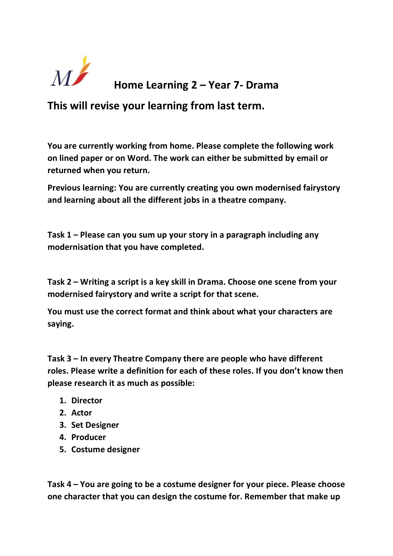

## **Home Learning 2 – Year 7- Drama**

**This will revise your learning from last term.**

**You are currently working from home. Please complete the following work on lined paper or on Word. The work can either be submitted by email or returned when you return.**

**Previous learning: You are currently creating you own modernised fairystory and learning about all the different jobs in a theatre company.**

**Task 1 – Please can you sum up your story in a paragraph including any modernisation that you have completed.**

**Task 2 – Writing a script is a key skill in Drama. Choose one scene from your modernised fairystory and write a script for that scene.**

**You must use the correct format and think about what your characters are saying.**

**Task 3 – In every Theatre Company there are people who have different roles. Please write a definition for each of these roles. If you don't know then please research it as much as possible:**

- **1. Director**
- **2. Actor**
- **3. Set Designer**
- **4. Producer**
- **5. Costume designer**

**Task 4 – You are going to be a costume designer for your piece. Please choose one character that you can design the costume for. Remember that make up**